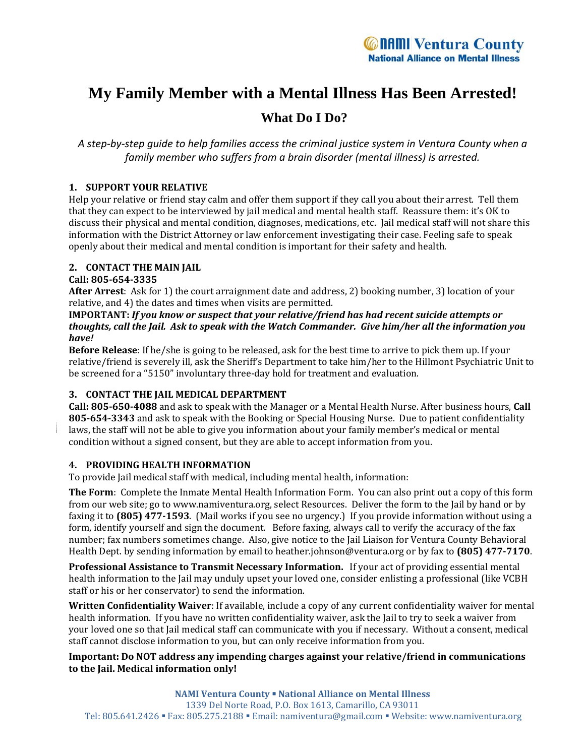# **My Family Member with a Mental Illness Has Been Arrested! What Do I Do?**

A step-by-step guide to help families access the criminal justice system in Ventura County when a *family member who suffers from a brain disorder (mental illness) is arrested.*

# **1. SUPPORT YOUR RELATIVE**

Help your relative or friend stay calm and offer them support if they call you about their arrest. Tell them that they can expect to be interviewed by jail medical and mental health staff. Reassure them: it's OK to discuss their physical and mental condition, diagnoses, medications, etc. Jail medical staff will not share this information with the District Attorney or law enforcement investigating their case. Feeling safe to speak openly about their medical and mental condition is important for their safety and health.

# **2. CONTACT THE MAIN JAIL**

#### **Call: 8056543335**

**After Arrest**: Ask for 1) the court arraignment date and address, 2) booking number, 3) location of your relative, and 4) the dates and times when visits are permitted.

#### **IMPORTANT:** *If you know or suspect that your relative/friend has had recent suicide attempts or* thoughts, call the Jail. Ask to speak with the Watch Commander. Give him/her all the information you *have!*

**Before Release**: If he/she is going to be released, ask for the best time to arrive to pick them up. If your relative/friend is severely ill, ask the Sheriff's Department to take him/her to the Hillmont Psychiatric Unit to be screened for a "5150" involuntary three-day hold for treatment and evaluation.

# **3. CONTACT THE JAIL MEDICAL DEPARTMENT**

**Call: 8056504088** and ask to speak with the Manager or a Mental Health Nurse. After business hours, **Call 8056543343** and ask to speak with the Booking or Special Housing Nurse. Due to patient confidentiality laws, the staff will not be able to give you information about your family member's medical or mental condition without a signed consent, but they are able to accept information from you.

#### **4. PROVIDING HEALTH INFORMATION**

To provide Jail medical staff with medical, including mental health, information:

**The Form**: Complete the Inmate Mental Health Information Form. You can also print out a copy of this form from our web site; go to www.namiventura.org, select Resources. Deliver the form to the Jail by hand or by faxing it to **(805) 4771593**. (Mail works if you see no urgency.) If you provide information without using a form, identify yourself and sign the document. Before faxing, always call to verify the accuracy of the fax number; fax numbers sometimes change. Also, give notice to the Jail Liaison for Ventura County Behavioral Health Dept. by sending information by email to heather.johnson@ventura.org or by fax to **(805) 4777170**.

**Professional Assistance to Transmit Necessary Information.** If your act of providing essential mental health information to the Jail may unduly upset your loved one, consider enlisting a professional (like VCBH staff or his or her conservator) to send the information.

**Written Confidentiality Waiver**: If available, include a copy of any current confidentiality waiver for mental health information. If you have no written confidentiality waiver, ask the Jail to try to seek a waiver from your loved one so that Jail medical staff can communicate with you if necessary. Without a consent, medical staff cannot disclose information to you, but can only receive information from you.

#### **Important: Do NOT address any impending charges against your relative/friend in communications to the Jail. Medical information only!**